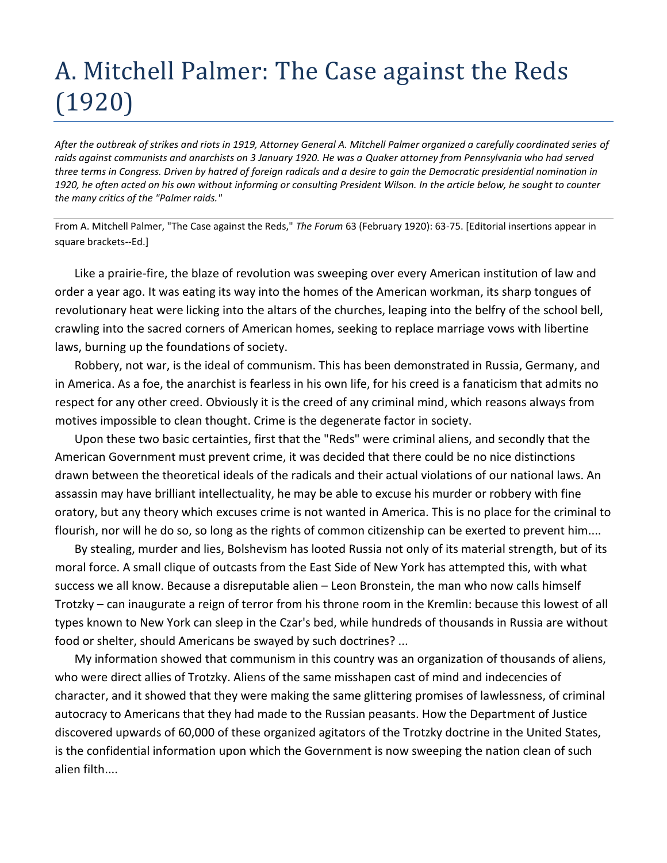## A. Mitchell Palmer: The Case against the Reds (1920)

*After the outbreak of strikes and riots in 1919, Attorney General A. Mitchell Palmer organized a carefully coordinated series of raids against communists and anarchists on 3 January 1920. He was a Quaker attorney from Pennsylvania who had served three terms in Congress. Driven by hatred of foreign radicals and a desire to gain the Democratic presidential nomination in 1920, he often acted on his own without informing or consulting President Wilson. In the article below, he sought to counter the many critics of the "Palmer raids."*

From A. Mitchell Palmer, "The Case against the Reds," *The Forum* 63 (February 1920): 63-75. [Editorial insertions appear in square brackets--Ed.]

Like a prairie-fire, the blaze of revolution was sweeping over every American institution of law and order a year ago. It was eating its way into the homes of the American workman, its sharp tongues of revolutionary heat were licking into the altars of the churches, leaping into the belfry of the school bell, crawling into the sacred corners of American homes, seeking to replace marriage vows with libertine laws, burning up the foundations of society.

Robbery, not war, is the ideal of communism. This has been demonstrated in Russia, Germany, and in America. As a foe, the anarchist is fearless in his own life, for his creed is a fanaticism that admits no respect for any other creed. Obviously it is the creed of any criminal mind, which reasons always from motives impossible to clean thought. Crime is the degenerate factor in society.

Upon these two basic certainties, first that the "Reds" were criminal aliens, and secondly that the American Government must prevent crime, it was decided that there could be no nice distinctions drawn between the theoretical ideals of the radicals and their actual violations of our national laws. An assassin may have brilliant intellectuality, he may be able to excuse his murder or robbery with fine oratory, but any theory which excuses crime is not wanted in America. This is no place for the criminal to flourish, nor will he do so, so long as the rights of common citizenship can be exerted to prevent him....

By stealing, murder and lies, Bolshevism has looted Russia not only of its material strength, but of its moral force. A small clique of outcasts from the East Side of New York has attempted this, with what success we all know. Because a disreputable alien – Leon Bronstein, the man who now calls himself Trotzky – can inaugurate a reign of terror from his throne room in the Kremlin: because this lowest of all types known to New York can sleep in the Czar's bed, while hundreds of thousands in Russia are without food or shelter, should Americans be swayed by such doctrines? ...

My information showed that communism in this country was an organization of thousands of aliens, who were direct allies of Trotzky. Aliens of the same misshapen cast of mind and indecencies of character, and it showed that they were making the same glittering promises of lawlessness, of criminal autocracy to Americans that they had made to the Russian peasants. How the Department of Justice discovered upwards of 60,000 of these organized agitators of the Trotzky doctrine in the United States, is the confidential information upon which the Government is now sweeping the nation clean of such alien filth....